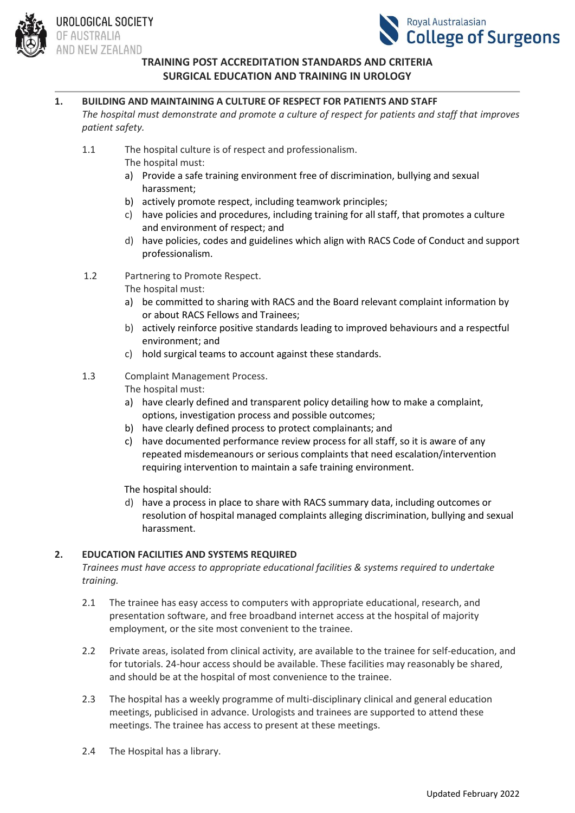

#### **1. BUILDING AND MAINTAINING A CULTURE OF RESPECT FOR PATIENTS AND STAFF**

*The hospital must demonstrate and promote a culture of respect for patients and staff that improves patient safety.*

- 1.1 The hospital culture is of respect and professionalism.
	- The hospital must:
	- a) Provide a safe training environment free of discrimination, bullying and sexual harassment;
	- b) actively promote respect, including teamwork principles;
	- c) have policies and procedures, including training for all staff, that promotes a culture and environment of respect; and
	- d) have policies, codes and guidelines which align with RACS Code of Conduct and support professionalism.
- 1.2 Partnering to Promote Respect.
	- The hospital must:
	- a) be committed to sharing with RACS and the Board relevant complaint information by or about RACS Fellows and Trainees;
	- b) actively reinforce positive standards leading to improved behaviours and a respectful environment; and
	- c) hold surgical teams to account against these standards.
- 1.3 Complaint Management Process.

The hospital must:

- a) have clearly defined and transparent policy detailing how to make a complaint, options, investigation process and possible outcomes;
- b) have clearly defined process to protect complainants; and
- c) have documented performance review process for all staff, so it is aware of any repeated misdemeanours or serious complaints that need escalation/intervention requiring intervention to maintain a safe training environment.

The hospital should:

d) have a process in place to share with RACS summary data, including outcomes or resolution of hospital managed complaints alleging discrimination, bullying and sexual harassment.

## **2. EDUCATION FACILITIES AND SYSTEMS REQUIRED**

*Trainees must have access to appropriate educational facilities & systems required to undertake training.*

- 2.1 The trainee has easy access to computers with appropriate educational, research, and presentation software, and free broadband internet access at the hospital of majority employment, or the site most convenient to the trainee.
- 2.2 Private areas, isolated from clinical activity, are available to the trainee for self-education, and for tutorials. 24-hour access should be available. These facilities may reasonably be shared, and should be at the hospital of most convenience to the trainee.
- 2.3 The hospital has a weekly programme of multi-disciplinary clinical and general education meetings, publicised in advance. Urologists and trainees are supported to attend these meetings. The trainee has access to present at these meetings.
- 2.4 The Hospital has a library.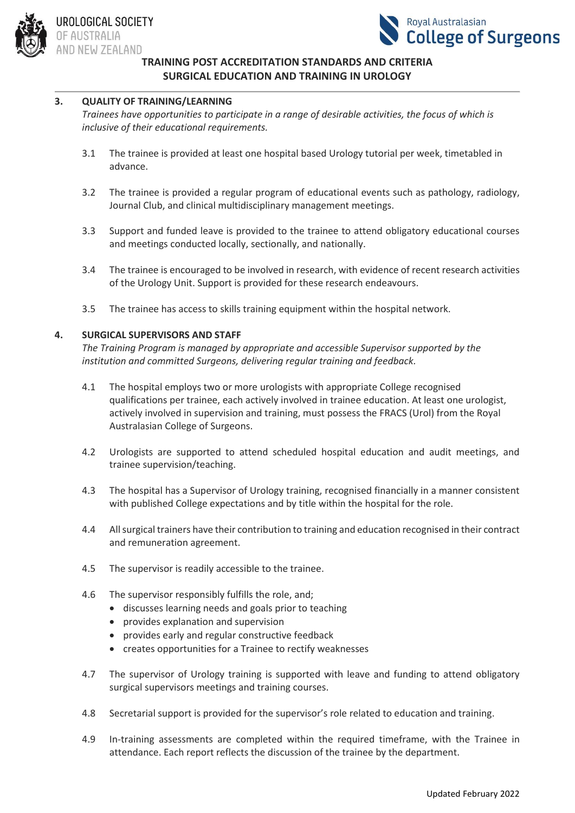



## **3. QUALITY OF TRAINING/LEARNING**

*Trainees have opportunities to participate in a range of desirable activities, the focus of which is inclusive of their educational requirements.*

- 3.1 The trainee is provided at least one hospital based Urology tutorial per week, timetabled in advance.
- 3.2 The trainee is provided a regular program of educational events such as pathology, radiology, Journal Club, and clinical multidisciplinary management meetings.
- 3.3 Support and funded leave is provided to the trainee to attend obligatory educational courses and meetings conducted locally, sectionally, and nationally.
- 3.4 The trainee is encouraged to be involved in research, with evidence of recent research activities of the Urology Unit. Support is provided for these research endeavours.
- 3.5 The trainee has access to skills training equipment within the hospital network.

#### **4. SURGICAL SUPERVISORS AND STAFF**

*The Training Program is managed by appropriate and accessible Supervisor supported by the institution and committed Surgeons, delivering regular training and feedback.*

- 4.1 The hospital employs two or more urologists with appropriate College recognised qualifications per trainee, each actively involved in trainee education. At least one urologist, actively involved in supervision and training, must possess the FRACS (Urol) from the Royal Australasian College of Surgeons.
- 4.2 Urologists are supported to attend scheduled hospital education and audit meetings, and trainee supervision/teaching.
- 4.3 The hospital has a Supervisor of Urology training, recognised financially in a manner consistent with published College expectations and by title within the hospital for the role.
- 4.4 All surgical trainers have their contribution to training and education recognised in their contract and remuneration agreement.
- 4.5 The supervisor is readily accessible to the trainee.
- 4.6 The supervisor responsibly fulfills the role, and;
	- discusses learning needs and goals prior to teaching
	- provides explanation and supervision
	- provides early and regular constructive feedback
	- creates opportunities for a Trainee to rectify weaknesses
- 4.7 The supervisor of Urology training is supported with leave and funding to attend obligatory surgical supervisors meetings and training courses.
- 4.8 Secretarial support is provided for the supervisor's role related to education and training.
- 4.9 In-training assessments are completed within the required timeframe, with the Trainee in attendance. Each report reflects the discussion of the trainee by the department.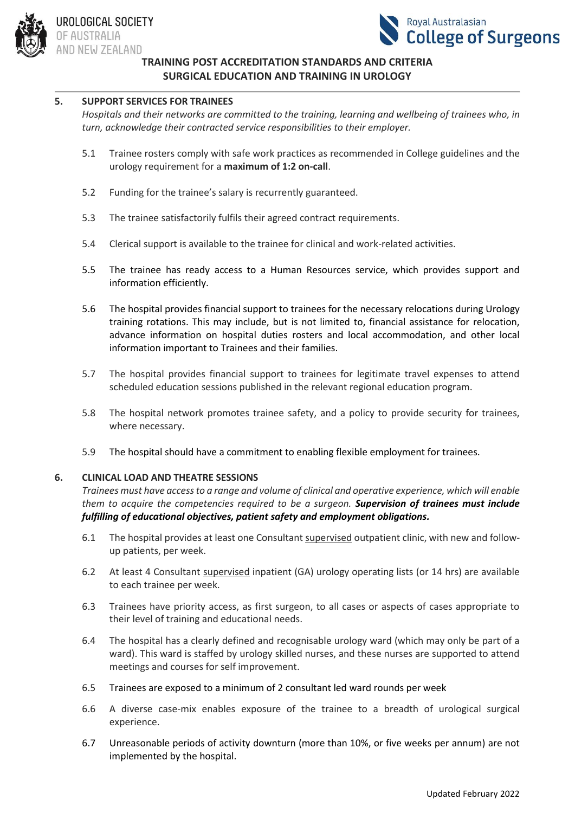



## **5. SUPPORT SERVICES FOR TRAINEES**

*Hospitals and their networks are committed to the training, learning and wellbeing of trainees who, in turn, acknowledge their contracted service responsibilities to their employer.*

- 5.1 Trainee rosters comply with safe work practices as recommended in College guidelines and the urology requirement for a **maximum of 1:2 on-call**.
- 5.2 Funding for the trainee's salary is recurrently guaranteed.
- 5.3 The trainee satisfactorily fulfils their agreed contract requirements.
- 5.4 Clerical support is available to the trainee for clinical and work-related activities.
- 5.5 The trainee has ready access to a Human Resources service, which provides support and information efficiently.
- 5.6 The hospital provides financial support to trainees for the necessary relocations during Urology training rotations. This may include, but is not limited to, financial assistance for relocation, advance information on hospital duties rosters and local accommodation, and other local information important to Trainees and their families.
- 5.7 The hospital provides financial support to trainees for legitimate travel expenses to attend scheduled education sessions published in the relevant regional education program.
- 5.8 The hospital network promotes trainee safety, and a policy to provide security for trainees, where necessary.
- 5.9 The hospital should have a commitment to enabling flexible employment for trainees.

## **6. CLINICAL LOAD AND THEATRE SESSIONS**

*Trainees must have access to a range and volume of clinical and operative experience, which will enable them to acquire the competencies required to be a surgeon. Supervision of trainees must include fulfilling of educational objectives, patient safety and employment obligations.*

- 6.1 The hospital provides at least one Consultant supervised outpatient clinic, with new and followup patients, per week.
- 6.2 At least 4 Consultant supervised inpatient (GA) urology operating lists (or 14 hrs) are available to each trainee per week.
- 6.3 Trainees have priority access, as first surgeon, to all cases or aspects of cases appropriate to their level of training and educational needs.
- 6.4 The hospital has a clearly defined and recognisable urology ward (which may only be part of a ward). This ward is staffed by urology skilled nurses, and these nurses are supported to attend meetings and courses for self improvement.
- 6.5 Trainees are exposed to a minimum of 2 consultant led ward rounds per week
- 6.6 A diverse case-mix enables exposure of the trainee to a breadth of urological surgical experience.
- 6.7 Unreasonable periods of activity downturn (more than 10%, or five weeks per annum) are not implemented by the hospital.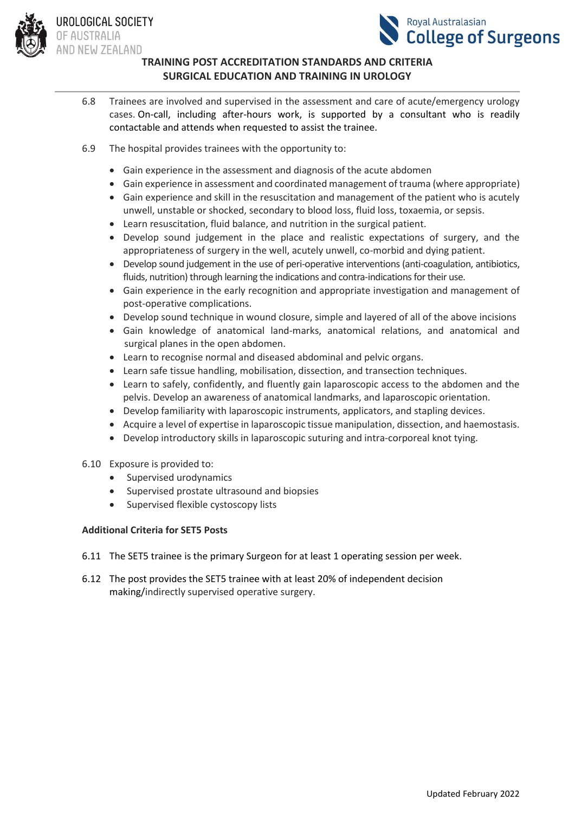

UROLOGICAL SOCIETY **JF AUSTRALIA** AND NEW ZEALAND



# **TRAINING POST ACCREDITATION STANDARDS AND CRITERIA SURGICAL EDUCATION AND TRAINING IN UROLOGY**

- 6.8 Trainees are involved and supervised in the assessment and care of acute/emergency urology cases. On-call, including after-hours work, is supported by a consultant who is readily contactable and attends when requested to assist the trainee.
- 6.9 The hospital provides trainees with the opportunity to:
	- Gain experience in the assessment and diagnosis of the acute abdomen
	- Gain experience in assessment and coordinated management of trauma (where appropriate)
	- Gain experience and skill in the resuscitation and management of the patient who is acutely unwell, unstable or shocked, secondary to blood loss, fluid loss, toxaemia, or sepsis.
	- Learn resuscitation, fluid balance, and nutrition in the surgical patient.
	- Develop sound judgement in the place and realistic expectations of surgery, and the appropriateness of surgery in the well, acutely unwell, co-morbid and dying patient.
	- Develop sound judgement in the use of peri-operative interventions (anti-coagulation, antibiotics, fluids, nutrition) through learning the indications and contra-indications for their use.
	- Gain experience in the early recognition and appropriate investigation and management of post-operative complications.
	- Develop sound technique in wound closure, simple and layered of all of the above incisions
	- Gain knowledge of anatomical land-marks, anatomical relations, and anatomical and surgical planes in the open abdomen.
	- Learn to recognise normal and diseased abdominal and pelvic organs.
	- Learn safe tissue handling, mobilisation, dissection, and transection techniques.
	- Learn to safely, confidently, and fluently gain laparoscopic access to the abdomen and the pelvis. Develop an awareness of anatomical landmarks, and laparoscopic orientation.
	- Develop familiarity with laparoscopic instruments, applicators, and stapling devices.
	- Acquire a level of expertise in laparoscopic tissue manipulation, dissection, and haemostasis.
	- Develop introductory skills in laparoscopic suturing and intra-corporeal knot tying.
- 6.10 Exposure is provided to:
	- Supervised urodynamics
	- Supervised prostate ultrasound and biopsies
	- Supervised flexible cystoscopy lists

## **Additional Criteria for SET5 Posts**

- 6.11 The SET5 trainee is the primary Surgeon for at least 1 operating session per week.
- 6.12 The post provides the SET5 trainee with at least 20% of independent decision making/indirectly supervised operative surgery.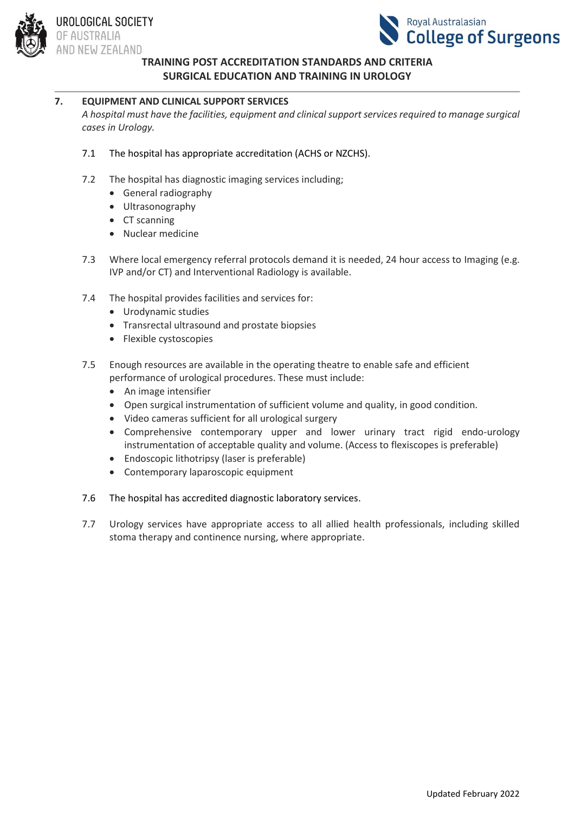



# **TRAINING POST ACCREDITATION STANDARDS AND CRITERIA**

# **SURGICAL EDUCATION AND TRAINING IN UROLOGY**

# **7. EQUIPMENT AND CLINICAL SUPPORT SERVICES**

*A hospital must have the facilities, equipment and clinical support services required to manage surgical cases in Urology.*

- 7.1 The hospital has appropriate accreditation (ACHS or NZCHS).
- 7.2 The hospital has diagnostic imaging services including;
	- General radiography
	- Ultrasonography
	- CT scanning
	- Nuclear medicine
- 7.3 Where local emergency referral protocols demand it is needed, 24 hour access to Imaging (e.g. IVP and/or CT) and Interventional Radiology is available.
- 7.4 The hospital provides facilities and services for:
	- Urodynamic studies
	- Transrectal ultrasound and prostate biopsies
	- Flexible cystoscopies
- 7.5 Enough resources are available in the operating theatre to enable safe and efficient performance of urological procedures. These must include:
	- An image intensifier
	- Open surgical instrumentation of sufficient volume and quality, in good condition.
	- Video cameras sufficient for all urological surgery
	- Comprehensive contemporary upper and lower urinary tract rigid endo-urology instrumentation of acceptable quality and volume. (Access to flexiscopes is preferable)
	- Endoscopic lithotripsy (laser is preferable)
	- Contemporary laparoscopic equipment

#### 7.6 The hospital has accredited diagnostic laboratory services.

7.7 Urology services have appropriate access to all allied health professionals, including skilled stoma therapy and continence nursing, where appropriate.